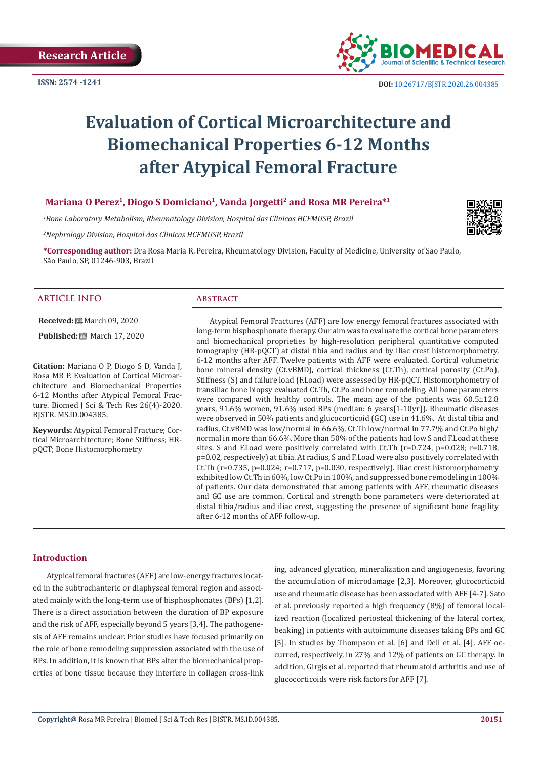

# **Evaluation of Cortical Microarchitecture and Biomechanical Properties 6-12 Months after Atypical Femoral Fracture**

# **Mariana O Perez1, Diogo S Domiciano1, Vanda Jorgetti2 and Rosa MR Pereira\*1**

*1 Bone Laboratory Metabolism, Rheumatology Division, Hospital das Clinicas HCFMUSP, Brazil* 

*2 Nephrology Division, Hospital das Clinicas HCFMUSP, Brazil*

**\*Corresponding author:** Dra Rosa Maria R. Pereira, Rheumatology Division, Faculty of Medicine, University of Sao Paulo, São Paulo, SP, 01246-903, Brazil

#### **ARTICLE INFO Abstract**

**Received:** March 09, 2020

**Published:** 圖 March 17, 2020

**Citation:** Mariana O P, Diogo S D, Vanda J, Rosa MR P. Evaluation of Cortical Microarchitecture and Biomechanical Properties 6-12 Months after Atypical Femoral Fracture. Biomed J Sci & Tech Res 26(4)-2020. BJSTR. MS.ID.004385.

**Keywords:** Atypical Femoral Fracture; Cortical Microarchitecture; Bone Stiffness; HRpQCT; Bone Histomorphometry

Atypical Femoral Fractures (AFF) are low energy femoral fractures associated with long-term bisphosphonate therapy. Our aim was to evaluate the cortical bone parameters and biomechanical proprieties by high-resolution peripheral quantitative computed tomography (HR-pQCT) at distal tibia and radius and by iliac crest histomorphometry, 6-12 months after AFF. Twelve patients with AFF were evaluated. Cortical volumetric bone mineral density (Ct.vBMD), cortical thickness (Ct.Th), cortical porosity (Ct.Po), Stiffness (S) and failure load (F.Load) were assessed by HR-pQCT. Histomorphometry of transiliac bone biopsy evaluated Ct.Th, Ct.Po and bone remodeling. All bone parameters were compared with healthy controls. The mean age of the patients was 60.5±12.8 years, 91.6% women, 91.6% used BPs (median: 6 years[1-10yr]). Rheumatic diseases were observed in 50% patients and glucocorticoid (GC) use in 41.6%. At distal tibia and radius, Ct.vBMD was low/normal in 66.6%, Ct.Th low/normal in 77.7% and Ct.Po high/ normal in more than 66.6%. More than 50% of the patients had low S and F.Load at these sites. S and F.Load were positively correlated with Ct.Th  $(r=0.724, p=0.028; r=0.718,$ p=0.02, respectively) at tibia. At radius, S and F.Load were also positively correlated with Ct.Th (r=0.735, p=0.024; r=0.717, p=0.030, respectively). Iliac crest histomorphometry exhibited low Ct.Th in 60%, low Ct.Po in 100%, and suppressed bone remodeling in 100% of patients. Our data demonstrated that among patients with AFF, rheumatic diseases and GC use are common. Cortical and strength bone parameters were deteriorated at distal tibia/radius and iliac crest, suggesting the presence of significant bone fragility after 6-12 months of AFF follow-up.

## **Introduction**

Atypical femoral fractures (AFF) are low-energy fractures located in the subtrochanteric or diaphyseal femoral region and associated mainly with the long-term use of bisphosphonates (BPs) [1,2]. There is a direct association between the duration of BP exposure and the risk of AFF, especially beyond 5 years [3,4]. The pathogenesis of AFF remains unclear. Prior studies have focused primarily on the role of bone remodeling suppression associated with the use of BPs. In addition, it is known that BPs alter the biomechanical properties of bone tissue because they interfere in collagen cross-link

ing, advanced glycation, mineralization and angiogenesis, favoring the accumulation of microdamage [2,3]. Moreover, glucocorticoid use and rheumatic disease has been associated with AFF [4-7]. Sato et al. previously reported a high frequency (8%) of femoral localized reaction (localized periosteal thickening of the lateral cortex, beaking) in patients with autoimmune diseases taking BPs and GC [5]. In studies by Thompson et al. [6] and Dell et al. [4], AFF occurred, respectively, in 27% and 12% of patients on GC therapy. In addition, Girgis et al. reported that rheumatoid arthritis and use of glucocorticoids were risk factors for AFF [7].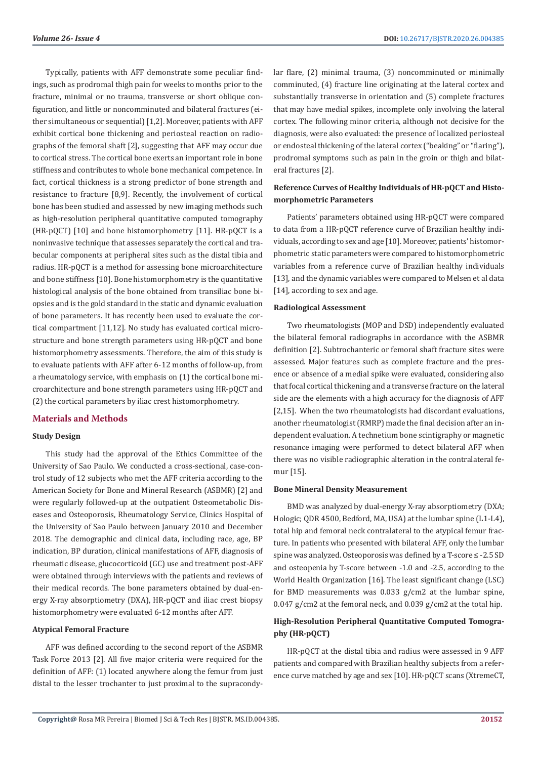Typically, patients with AFF demonstrate some peculiar findings, such as prodromal thigh pain for weeks to months prior to the fracture, minimal or no trauma, transverse or short oblique configuration, and little or noncomminuted and bilateral fractures (either simultaneous or sequential) [1,2]. Moreover, patients with AFF exhibit cortical bone thickening and periosteal reaction on radiographs of the femoral shaft [2], suggesting that AFF may occur due to cortical stress. The cortical bone exerts an important role in bone stiffness and contributes to whole bone mechanical competence. In fact, cortical thickness is a strong predictor of bone strength and resistance to fracture [8,9]. Recently, the involvement of cortical bone has been studied and assessed by new imaging methods such as high-resolution peripheral quantitative computed tomography (HR-pQCT) [10] and bone histomorphometry [11]. HR-pQCT is a noninvasive technique that assesses separately the cortical and trabecular components at peripheral sites such as the distal tibia and radius. HR-pQCT is a method for assessing bone microarchitecture and bone stiffness [10]. Bone histomorphometry is the quantitative histological analysis of the bone obtained from transiliac bone biopsies and is the gold standard in the static and dynamic evaluation of bone parameters. It has recently been used to evaluate the cortical compartment [11,12]. No study has evaluated cortical microstructure and bone strength parameters using HR-pQCT and bone histomorphometry assessments. Therefore, the aim of this study is to evaluate patients with AFF after 6-12 months of follow-up, from a rheumatology service, with emphasis on (1) the cortical bone microarchitecture and bone strength parameters using HR-pQCT and (2) the cortical parameters by iliac crest histomorphometry.

# **Materials and Methods**

## **Study Design**

This study had the approval of the Ethics Committee of the University of Sao Paulo. We conducted a cross-sectional, case-control study of 12 subjects who met the AFF criteria according to the American Society for Bone and Mineral Research (ASBMR) [2] and were regularly followed-up at the outpatient Osteometabolic Diseases and Osteoporosis, Rheumatology Service, Clinics Hospital of the University of Sao Paulo between January 2010 and December 2018. The demographic and clinical data, including race, age, BP indication, BP duration, clinical manifestations of AFF, diagnosis of rheumatic disease, glucocorticoid (GC) use and treatment post-AFF were obtained through interviews with the patients and reviews of their medical records. The bone parameters obtained by dual-energy X-ray absorptiometry (DXA), HR-pQCT and iliac crest biopsy histomorphometry were evaluated 6-12 months after AFF.

## **Atypical Femoral Fracture**

AFF was defined according to the second report of the ASBMR Task Force 2013 [2]. All five major criteria were required for the definition of AFF: (1) located anywhere along the femur from just distal to the lesser trochanter to just proximal to the supracondylar flare, (2) minimal trauma, (3) noncomminuted or minimally comminuted, (4) fracture line originating at the lateral cortex and substantially transverse in orientation and (5) complete fractures that may have medial spikes, incomplete only involving the lateral cortex. The following minor criteria, although not decisive for the diagnosis, were also evaluated: the presence of localized periosteal or endosteal thickening of the lateral cortex ("beaking" or "flaring"), prodromal symptoms such as pain in the groin or thigh and bilateral fractures [2].

# **Reference Curves of Healthy Individuals of HR-pQCT and Histomorphometric Parameters**

Patients' parameters obtained using HR-pQCT were compared to data from a HR-pQCT reference curve of Brazilian healthy individuals, according to sex and age [10]. Moreover, patients' histomorphometric static parameters were compared to histomorphometric variables from a reference curve of Brazilian healthy individuals [13], and the dynamic variables were compared to Melsen et al data [14], according to sex and age.

## **Radiological Assessment**

Two rheumatologists (MOP and DSD) independently evaluated the bilateral femoral radiographs in accordance with the ASBMR definition [2]. Subtrochanteric or femoral shaft fracture sites were assessed. Major features such as complete fracture and the presence or absence of a medial spike were evaluated, considering also that focal cortical thickening and a transverse fracture on the lateral side are the elements with a high accuracy for the diagnosis of AFF [2,15]. When the two rheumatologists had discordant evaluations, another rheumatologist (RMRP) made the final decision after an independent evaluation. A technetium bone scintigraphy or magnetic resonance imaging were performed to detect bilateral AFF when there was no visible radiographic alteration in the contralateral femur [15].

## **Bone Mineral Density Measurement**

BMD was analyzed by dual-energy X-ray absorptiometry (DXA; Hologic; QDR 4500, Bedford, MA, USA) at the lumbar spine (L1-L4), total hip and femoral neck contralateral to the atypical femur fracture. In patients who presented with bilateral AFF, only the lumbar spine was analyzed. Osteoporosis was defined by a T-score ≤ -2.5 SD and osteopenia by T-score between -1.0 and -2.5, according to the World Health Organization [16]. The least significant change (LSC) for BMD measurements was 0.033 g/cm2 at the lumbar spine, 0.047 g/cm2 at the femoral neck, and 0.039 g/cm2 at the total hip.

# **High-Resolution Peripheral Quantitative Computed Tomography (HR-pQCT)**

HR-pQCT at the distal tibia and radius were assessed in 9 AFF patients and compared with Brazilian healthy subjects from a reference curve matched by age and sex [10]. HR-pQCT scans (XtremeCT,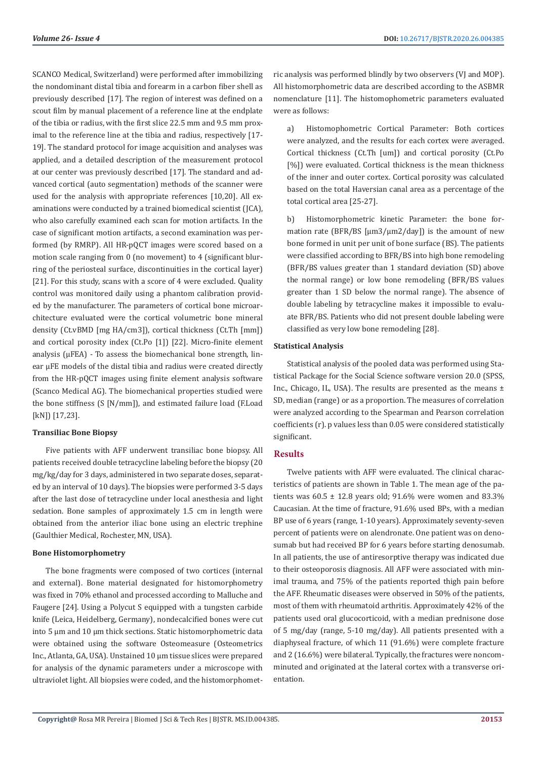SCANCO Medical, Switzerland) were performed after immobilizing the nondominant distal tibia and forearm in a carbon fiber shell as previously described [17]. The region of interest was defined on a scout film by manual placement of a reference line at the endplate of the tibia or radius, with the first slice 22.5 mm and 9.5 mm proximal to the reference line at the tibia and radius, respectively [17- 19]. The standard protocol for image acquisition and analyses was applied, and a detailed description of the measurement protocol at our center was previously described [17]. The standard and advanced cortical (auto segmentation) methods of the scanner were used for the analysis with appropriate references [10,20]. All examinations were conducted by a trained biomedical scientist (JCA), who also carefully examined each scan for motion artifacts. In the case of significant motion artifacts, a second examination was performed (by RMRP). All HR-pQCT images were scored based on a motion scale ranging from 0 (no movement) to 4 (significant blurring of the periosteal surface, discontinuities in the cortical layer) [21]. For this study, scans with a score of 4 were excluded. Quality control was monitored daily using a phantom calibration provided by the manufacturer. The parameters of cortical bone microarchitecture evaluated were the cortical volumetric bone mineral density (Ct.vBMD [mg HA/cm3]), cortical thickness (Ct.Th [mm]) and cortical porosity index (Ct.Po [1]) [22]. Micro-finite element analysis (μFEA) - To assess the biomechanical bone strength, linear μFE models of the distal tibia and radius were created directly from the HR-pQCT images using finite element analysis software (Scanco Medical AG). The biomechanical properties studied were the bone stiffness (S [N/mm]), and estimated failure load (F.Load [kN]) [17,23].

# **Transiliac Bone Biopsy**

Five patients with AFF underwent transiliac bone biopsy. All patients received double tetracycline labeling before the biopsy (20 mg/kg/day for 3 days, administered in two separate doses, separated by an interval of 10 days). The biopsies were performed 3-5 days after the last dose of tetracycline under local anesthesia and light sedation. Bone samples of approximately 1.5 cm in length were obtained from the anterior iliac bone using an electric trephine (Gaulthier Medical, Rochester, MN, USA).

## **Bone Histomorphometry**

The bone fragments were composed of two cortices (internal and external). Bone material designated for histomorphometry was fixed in 70% ethanol and processed according to Malluche and Faugere [24]. Using a Polycut S equipped with a tungsten carbide knife (Leica, Heidelberg, Germany), nondecalcified bones were cut into 5 µm and 10 µm thick sections. Static histomorphometric data were obtained using the software Osteomeasure (Osteometrics Inc., Atlanta, GA, USA). Unstained 10 µm tissue slices were prepared for analysis of the dynamic parameters under a microscope with ultraviolet light. All biopsies were coded, and the histomorphometric analysis was performed blindly by two observers (VJ and MOP). All histomorphometric data are described according to the ASBMR nomenclature [11]. The histomophometric parameters evaluated were as follows:

a) Histomophometric Cortical Parameter: Both cortices were analyzed, and the results for each cortex were averaged. Cortical thickness (Ct.Th [um]) and cortical porosity (Ct.Po [%]) were evaluated. Cortical thickness is the mean thickness of the inner and outer cortex. Cortical porosity was calculated based on the total Haversian canal area as a percentage of the total cortical area [25-27].

b) Histomorphometric kinetic Parameter: the bone formation rate (BFR/BS  $\left[\mu \frac{m}{2}\right]$  and  $\left[\mu \frac{m}{2}\right]$ ) is the amount of new bone formed in unit per unit of bone surface (BS). The patients were classified according to BFR/BS into high bone remodeling (BFR/BS values greater than 1 standard deviation (SD) above the normal range) or low bone remodeling (BFR/BS values greater than 1 SD below the normal range). The absence of double labeling by tetracycline makes it impossible to evaluate BFR/BS. Patients who did not present double labeling were classified as very low bone remodeling [28].

# **Statistical Analysis**

Statistical analysis of the pooled data was performed using Statistical Package for the Social Science software version 20.0 (SPSS, Inc., Chicago, IL, USA). The results are presented as the means ± SD, median (range) or as a proportion. The measures of correlation were analyzed according to the Spearman and Pearson correlation coefficients (r). p values less than 0.05 were considered statistically significant.

# **Results**

Twelve patients with AFF were evaluated. The clinical characteristics of patients are shown in Table 1. The mean age of the patients was  $60.5 \pm 12.8$  years old; 91.6% were women and 83.3% Caucasian. At the time of fracture, 91.6% used BPs, with a median BP use of 6 years (range, 1-10 years). Approximately seventy-seven percent of patients were on alendronate. One patient was on denosumab but had received BP for 6 years before starting denosumab. In all patients, the use of antiresorptive therapy was indicated due to their osteoporosis diagnosis. All AFF were associated with minimal trauma, and 75% of the patients reported thigh pain before the AFF. Rheumatic diseases were observed in 50% of the patients, most of them with rheumatoid arthritis. Approximately 42% of the patients used oral glucocorticoid, with a median prednisone dose of 5 mg/day (range, 5-10 mg/day). All patients presented with a diaphyseal fracture, of which 11 (91.6%) were complete fracture and 2 (16.6%) were bilateral. Typically, the fractures were noncomminuted and originated at the lateral cortex with a transverse orientation.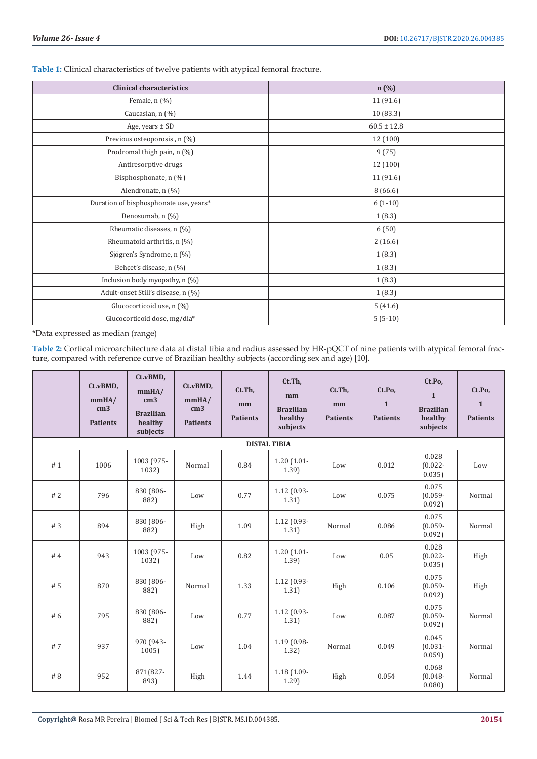| <b>Clinical characteristics</b>        | n (%)           |  |  |  |  |
|----------------------------------------|-----------------|--|--|--|--|
| Female, n (%)                          | 11 (91.6)       |  |  |  |  |
| Caucasian, n (%)                       | 10 (83.3)       |  |  |  |  |
| Age, years $\pm$ SD                    | $60.5 \pm 12.8$ |  |  |  |  |
| Previous osteoporosis, n (%)           | 12 (100)        |  |  |  |  |
| Prodromal thigh pain, n (%)            | 9(75)           |  |  |  |  |
| Antiresorptive drugs                   | 12 (100)        |  |  |  |  |
| Bisphosphonate, n (%)                  | 11 (91.6)       |  |  |  |  |
| Alendronate, n (%)                     | 8(66.6)         |  |  |  |  |
| Duration of bisphosphonate use, years* | $6(1-10)$       |  |  |  |  |
| Denosumab, n (%)                       | 1(8.3)          |  |  |  |  |
| Rheumatic diseases, n (%)              | 6(50)           |  |  |  |  |
| Rheumatoid arthritis, n (%)            | 2(16.6)         |  |  |  |  |
| Sjögren's Syndrome, n (%)              | 1(8.3)          |  |  |  |  |
| Behçet's disease, n (%)                | 1(8.3)          |  |  |  |  |
| Inclusion body myopathy, $n$ (%)       | 1(8.3)          |  |  |  |  |
| Adult-onset Still's disease, n (%)     | 1(8.3)          |  |  |  |  |
| Glucocorticoid use, n (%)              | 5(41.6)         |  |  |  |  |
| Glucocorticoid dose, mg/dia*           | $5(5-10)$       |  |  |  |  |

**Table 1:** Clinical characteristics of twelve patients with atypical femoral fracture.

\*Data expressed as median (range)

**Table 2:** Cortical microarchitecture data at distal tibia and radius assessed by HR-pQCT of nine patients with atypical femoral fracture, compared with reference curve of Brazilian healthy subjects (according sex and age) [10].

|     | Ct.vBMD,<br>mmHA/<br>cm <sub>3</sub><br><b>Patients</b> | Ct.vBMD,<br>mmHA/<br>cm <sub>3</sub><br><b>Brazilian</b><br>healthy<br>subjects | Ct.vBMD,<br>mmHA/<br>cm <sub>3</sub><br><b>Patients</b> | Ct.Th,<br>mm<br><b>Patients</b> | Ct.Th,<br>mm<br><b>Brazilian</b><br>healthy<br>subjects | Ct.Th,<br>mm<br><b>Patients</b> | Ct.Po,<br>$\mathbf{1}$<br><b>Patients</b> | Ct.Po,<br>$\mathbf{1}$<br><b>Brazilian</b><br>healthy<br>subjects | Ct.Po,<br>$\mathbf{1}$<br><b>Patients</b> |
|-----|---------------------------------------------------------|---------------------------------------------------------------------------------|---------------------------------------------------------|---------------------------------|---------------------------------------------------------|---------------------------------|-------------------------------------------|-------------------------------------------------------------------|-------------------------------------------|
|     |                                                         |                                                                                 |                                                         |                                 | <b>DISTAL TIBIA</b>                                     |                                 |                                           |                                                                   |                                           |
| #1  | 1006                                                    | 1003 (975-<br>1032)                                                             | Normal                                                  | 0.84                            | $1.20(1.01 -$<br>1.39                                   | Low                             | 0.012                                     | 0.028<br>$(0.022 -$<br>0.035                                      | Low                                       |
| #2  | 796                                                     | 830 (806-<br>882)                                                               | Low                                                     | 0.77                            | $1.12(0.93 -$<br>1.31)                                  | Low                             | 0.075                                     | 0.075<br>$(0.059 -$<br>0.092                                      | Normal                                    |
| #3  | 894                                                     | 830 (806-<br>882)                                                               | High                                                    | 1.09                            | $1.12(0.93 -$<br>1.31)                                  | Normal                          | 0.086                                     | 0.075<br>$(0.059 -$<br>0.092                                      | Normal                                    |
| #4  | 943                                                     | 1003 (975-<br>1032)                                                             | Low                                                     | 0.82                            | $1.20(1.01 -$<br>1.39                                   | Low                             | 0.05                                      | 0.028<br>$(0.022 -$<br>0.035                                      | High                                      |
| # 5 | 870                                                     | 830 (806-<br>882)                                                               | Normal                                                  | 1.33                            | $1.12(0.93 -$<br>1.31)                                  | High                            | 0.106                                     | 0.075<br>$(0.059 -$<br>0.092                                      | High                                      |
| #6  | 795                                                     | 830 (806-<br>882)                                                               | Low                                                     | 0.77                            | $1.12(0.93 -$<br>1.31)                                  | Low                             | 0.087                                     | 0.075<br>$(0.059 -$<br>0.092                                      | Normal                                    |
| #7  | 937                                                     | 970 (943-<br>1005                                                               | Low                                                     | 1.04                            | 1.19 (0.98-<br>1.32)                                    | Normal                          | 0.049                                     | 0.045<br>$(0.031 -$<br>0.059                                      | Normal                                    |
| # 8 | 952                                                     | 871(827-<br>893)                                                                | High                                                    | 1.44                            | $1.18(1.09 -$<br>1.29                                   | High                            | 0.054                                     | 0.068<br>$(0.048 -$<br>0.080                                      | Normal                                    |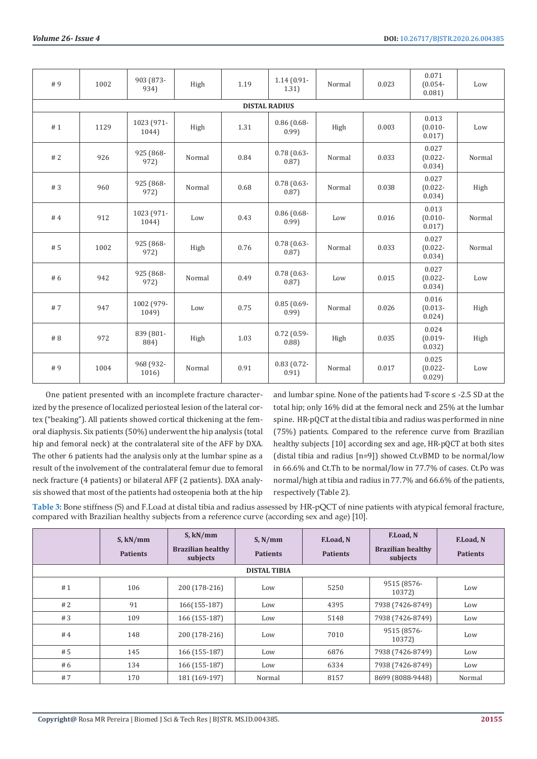| #9                   | 1002 | 903 (873-<br>934)   | High   | 1.19 | $1.14(0.91 -$<br>1.31) | Normal | 0.023 | 0.071<br>$(0.054 -$<br>0.081  | Low    |  |  |
|----------------------|------|---------------------|--------|------|------------------------|--------|-------|-------------------------------|--------|--|--|
| <b>DISTAL RADIUS</b> |      |                     |        |      |                        |        |       |                               |        |  |  |
| #1                   | 1129 | 1023 (971-<br>1044) | High   | 1.31 | $0.86$ (0.68-<br>0.99  | High   | 0.003 | 0.013<br>$(0.010 -$<br>0.017  | Low    |  |  |
| #2                   | 926  | 925 (868-<br>972)   | Normal | 0.84 | $0.78(0.63 -$<br>0.87  | Normal | 0.033 | 0.027<br>$(0.022 -$<br>0.034) | Normal |  |  |
| #3                   | 960  | 925 (868-<br>972)   | Normal | 0.68 | $0.78(0.63 -$<br>0.87  | Normal | 0.038 | 0.027<br>$(0.022 -$<br>0.034) | High   |  |  |
| #4                   | 912  | 1023 (971-<br>1044) | Low    | 0.43 | $0.86$ (0.68-<br>0.99  | Low    | 0.016 | 0.013<br>$(0.010 -$<br>0.017) | Normal |  |  |
| # 5                  | 1002 | 925 (868-<br>972)   | High   | 0.76 | $0.78(0.63 -$<br>0.87) | Normal | 0.033 | 0.027<br>$(0.022 -$<br>0.034) | Normal |  |  |
| # 6                  | 942  | 925 (868-<br>972)   | Normal | 0.49 | $0.78(0.63 -$<br>0.87) | Low    | 0.015 | 0.027<br>$(0.022 -$<br>0.034  | Low    |  |  |
| #7                   | 947  | 1002 (979-<br>1049) | Low    | 0.75 | $0.85(0.69 -$<br>0.99  | Normal | 0.026 | 0.016<br>$(0.013 -$<br>0.024) | High   |  |  |
| # 8                  | 972  | 839 (801-<br>884)   | High   | 1.03 | $0.72(0.59-$<br>0.88   | High   | 0.035 | 0.024<br>$(0.019 -$<br>0.032  | High   |  |  |
| #9                   | 1004 | 968 (932-<br>1016)  | Normal | 0.91 | $0.83(0.72 -$<br>0.91) | Normal | 0.017 | 0.025<br>$(0.022 -$<br>0.029  | Low    |  |  |

One patient presented with an incomplete fracture characterized by the presence of localized periosteal lesion of the lateral cortex ("beaking"). All patients showed cortical thickening at the femoral diaphysis. Six patients (50%) underwent the hip analysis (total hip and femoral neck) at the contralateral site of the AFF by DXA. The other 6 patients had the analysis only at the lumbar spine as a result of the involvement of the contralateral femur due to femoral neck fracture (4 patients) or bilateral AFF (2 patients). DXA analysis showed that most of the patients had osteopenia both at the hip

and lumbar spine. None of the patients had T-score ≤ -2.5 SD at the total hip; only 16% did at the femoral neck and 25% at the lumbar spine. HR-pQCT at the distal tibia and radius was performed in nine (75%) patients. Compared to the reference curve from Brazilian healthy subjects [10] according sex and age, HR-pQCT at both sites (distal tibia and radius [n=9]) showed Ct.vBMD to be normal/low in 66.6% and Ct.Th to be normal/low in 77.7% of cases. Ct.Po was normal/high at tibia and radius in 77.7% and 66.6% of the patients, respectively (Table 2).

**Table 3:** Bone stiffness (S) and F.Load at distal tibia and radius assessed by HR-pQCT of nine patients with atypical femoral fracture, compared with Brazilian healthy subjects from a reference curve (according sex and age) [10].

|    | S, kN/mm<br><b>Patients</b> | S, kN/mm<br><b>Brazilian healthy</b><br>subjects | $S$ , N/mm<br><b>Patients</b> | F.Load, N<br><b>Patients</b> | F.Load, N<br><b>Brazilian healthy</b><br>subjects | F.Load, N<br><b>Patients</b> |
|----|-----------------------------|--------------------------------------------------|-------------------------------|------------------------------|---------------------------------------------------|------------------------------|
|    |                             |                                                  | <b>DISTAL TIBIA</b>           |                              |                                                   |                              |
| #1 | 106                         | 200 (178-216)                                    | Low                           | 5250                         | 9515 (8576-<br>10372)                             | Low                          |
| #2 | 91                          | 166(155-187)                                     | Low                           | 4395                         | 7938 (7426-8749)                                  | Low                          |
| #3 | 109                         | 166 (155-187)                                    | Low                           | 5148                         | 7938 (7426-8749)                                  | Low                          |
| #4 | 148                         | 200 (178-216)                                    | Low                           | 7010                         | 9515 (8576-<br>10372)                             | Low                          |
| #5 | 145                         | 166 (155-187)                                    | Low                           | 6876                         | 7938 (7426-8749)                                  | Low                          |
| #6 | 134                         | 166 (155-187)                                    | Low                           | 6334                         | 7938 (7426-8749)                                  | Low                          |
| #7 | 170                         | 181 (169-197)                                    | Normal                        | 8157                         | 8699 (8088-9448)                                  | Normal                       |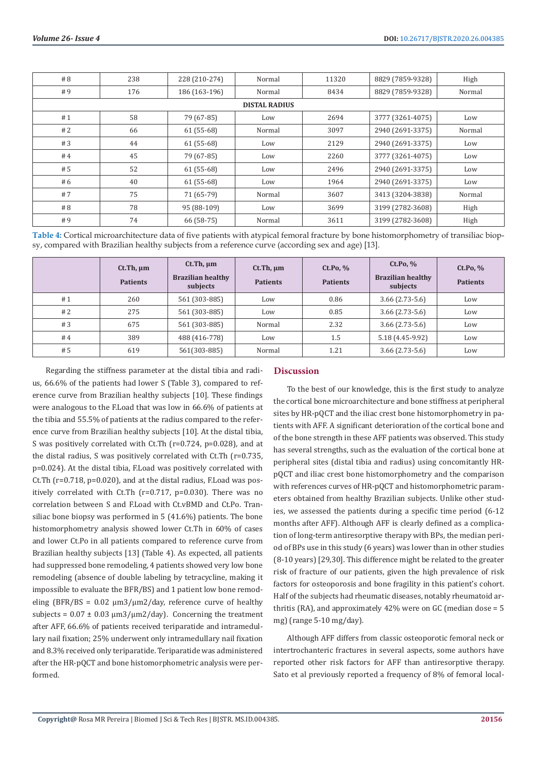| # 8                  | 238 | 228 (210-274) | Normal | 11320 | 8829 (7859-9328) | High   |  |  |
|----------------------|-----|---------------|--------|-------|------------------|--------|--|--|
| #9                   | 176 | 186 (163-196) | Normal | 8434  | 8829 (7859-9328) | Normal |  |  |
| <b>DISTAL RADIUS</b> |     |               |        |       |                  |        |  |  |
| #1                   | 58  | 79 (67-85)    | Low    | 2694  | 3777 (3261-4075) | Low    |  |  |
| #2                   | 66  | $61(55-68)$   | Normal | 3097  | 2940 (2691-3375) | Normal |  |  |
| #3                   | 44  | $61(55-68)$   | Low    | 2129  | 2940 (2691-3375) | Low    |  |  |
| #4                   | 45  | 79 (67-85)    | Low    | 2260  | 3777 (3261-4075) | Low    |  |  |
| #5                   | 52  | $61(55-68)$   | Low    | 2496  | 2940 (2691-3375) | Low    |  |  |
| #6                   | 40  | $61(55-68)$   | Low    | 1964  | 2940 (2691-3375) | Low    |  |  |
| #7                   | 75  | 71 (65-79)    | Normal | 3607  | 3413 (3204-3838) | Normal |  |  |
| #8                   | 78  | 95 (88-109)   | Low    | 3699  | 3199 (2782-3608) | High   |  |  |
| #9                   | 74  | 66 (58-75)    | Normal | 3611  | 3199 (2782-3608) | High   |  |  |

**Table 4:** Cortical microarchitecture data of five patients with atypical femoral fracture by bone histomorphometry of transiliac biopsy, compared with Brazilian healthy subjects from a reference curve (according sex and age) [13].

|    | $Ct$ . Th, $\mu$ m<br><b>Patients</b> | $Ct$ . Th, $\mu$ m<br><b>Brazilian healthy</b><br>subjects | $Ct$ . Th, $\mu$ m<br><b>Patients</b> | Ct.Po, %<br><b>Patients</b> | Ct.Po. %<br><b>Brazilian healthy</b><br>subjects | Ct.Po, %<br><b>Patients</b> |
|----|---------------------------------------|------------------------------------------------------------|---------------------------------------|-----------------------------|--------------------------------------------------|-----------------------------|
| #1 | 260                                   | 561 (303-885)                                              | Low                                   | 0.86                        | $3.66$ (2.73-5.6)                                | Low                         |
| #2 | 275                                   | 561 (303-885)                                              | Low                                   | 0.85                        | $3.66$ $(2.73-5.6)$                              | Low                         |
| #3 | 675                                   | 561 (303-885)                                              | Normal                                | 2.32                        | $3.66$ $(2.73-5.6)$                              | Low                         |
| #4 | 389                                   | 488 (416-778)                                              | Low                                   | 1.5                         | 5.18 (4.45-9.92)                                 | Low                         |
| #5 | 619                                   | 561(303-885)                                               | Normal                                | 1.21                        | $3.66$ $(2.73-5.6)$                              | Low                         |

Regarding the stiffness parameter at the distal tibia and radius, 66.6% of the patients had lower S (Table 3), compared to reference curve from Brazilian healthy subjects [10]. These findings were analogous to the F.Load that was low in 66.6% of patients at the tibia and 55.5% of patients at the radius compared to the reference curve from Brazilian healthy subjects [10]. At the distal tibia, S was positively correlated with Ct.Th (r=0.724, p=0.028), and at the distal radius, S was positively correlated with Ct.Th (r=0.735, p=0.024). At the distal tibia, F.Load was positively correlated with Ct.Th (r=0.718, p=0.020), and at the distal radius, F.Load was positively correlated with Ct.Th (r=0.717, p=0.030). There was no correlation between S and F.Load with Ct.vBMD and Ct.Po. Transiliac bone biopsy was performed in 5 (41.6%) patients. The bone histomorphometry analysis showed lower Ct.Th in 60% of cases and lower Ct.Po in all patients compared to reference curve from Brazilian healthy subjects [13] (Table 4). As expected, all patients had suppressed bone remodeling, 4 patients showed very low bone remodeling (absence of double labeling by tetracycline, making it impossible to evaluate the BFR/BS) and 1 patient low bone remodeling (BFR/BS =  $0.02 \mu m3/\mu m2$ /day, reference curve of healthy subjects =  $0.07 \pm 0.03 \mu m^2/\mu m^2/\text{day}$ . Concerning the treatment after AFF, 66.6% of patients received teriparatide and intramedullary nail fixation; 25% underwent only intramedullary nail fixation and 8.3% received only teriparatide. Teriparatide was administered after the HR-pQCT and bone histomorphometric analysis were performed.

# **Discussion**

To the best of our knowledge, this is the first study to analyze the cortical bone microarchitecture and bone stiffness at peripheral sites by HR-pQCT and the iliac crest bone histomorphometry in patients with AFF. A significant deterioration of the cortical bone and of the bone strength in these AFF patients was observed. This study has several strengths, such as the evaluation of the cortical bone at peripheral sites (distal tibia and radius) using concomitantly HRpQCT and iliac crest bone histomorphometry and the comparison with references curves of HR-pQCT and histomorphometric parameters obtained from healthy Brazilian subjects. Unlike other studies, we assessed the patients during a specific time period (6-12 months after AFF). Although AFF is clearly defined as a complication of long-term antiresorptive therapy with BPs, the median period of BPs use in this study (6 years) was lower than in other studies (8-10 years) [29,30]. This difference might be related to the greater risk of fracture of our patients, given the high prevalence of risk factors for osteoporosis and bone fragility in this patient's cohort. Half of the subjects had rheumatic diseases, notably rheumatoid arthritis (RA), and approximately  $42\%$  were on GC (median dose = 5 mg) (range 5-10 mg/day).

Although AFF differs from classic osteoporotic femoral neck or intertrochanteric fractures in several aspects, some authors have reported other risk factors for AFF than antiresorptive therapy. Sato et al previously reported a frequency of 8% of femoral local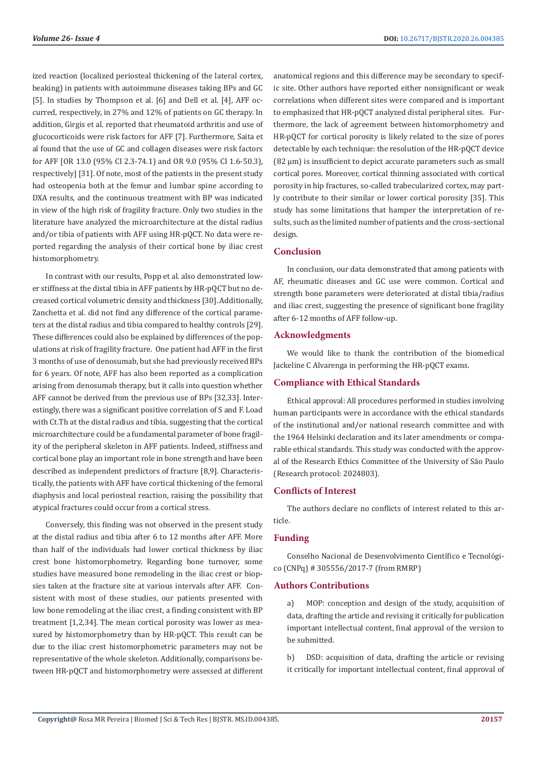ized reaction (localized periosteal thickening of the lateral cortex, beaking) in patients with autoimmune diseases taking BPs and GC [5]. In studies by Thompson et al. [6] and Dell et al. [4], AFF occurred, respectively, in 27% and 12% of patients on GC therapy. In addition, Girgis et al. reported that rheumatoid arthritis and use of glucocorticoids were risk factors for AFF [7]. Furthermore, Saita et al found that the use of GC and collagen diseases were risk factors for AFF [OR 13.0 (95% CI 2.3-74.1) and OR 9.0 (95% CI 1.6-50.3), respectively] [31]. Of note, most of the patients in the present study had osteopenia both at the femur and lumbar spine according to DXA results, and the continuous treatment with BP was indicated in view of the high risk of fragility fracture. Only two studies in the literature have analyzed the microarchitecture at the distal radius and/or tibia of patients with AFF using HR-pQCT. No data were reported regarding the analysis of their cortical bone by iliac crest histomorphometry.

In contrast with our results, Popp et al. also demonstrated lower stiffness at the distal tibia in AFF patients by HR-pQCT but no decreased cortical volumetric density and thickness [30]. Additionally, Zanchetta et al. did not find any difference of the cortical parameters at the distal radius and tibia compared to healthy controls [29]. These differences could also be explained by differences of the populations at risk of fragility fracture. One patient had AFF in the first 3 months of use of denosumab, but she had previously received BPs for 6 years. Of note, AFF has also been reported as a complication arising from denosumab therapy, but it calls into question whether AFF cannot be derived from the previous use of BPs [32,33]. Interestingly, there was a significant positive correlation of S and F. Load with Ct.Th at the distal radius and tibia, suggesting that the cortical microarchitecture could be a fundamental parameter of bone fragility of the peripheral skeleton in AFF patients. Indeed, stiffness and cortical bone play an important role in bone strength and have been described as independent predictors of fracture [8,9]. Characteristically, the patients with AFF have cortical thickening of the femoral diaphysis and local periosteal reaction, raising the possibility that atypical fractures could occur from a cortical stress.

Conversely, this finding was not observed in the present study at the distal radius and tibia after 6 to 12 months after AFF. More than half of the individuals had lower cortical thickness by iliac crest bone histomorphometry. Regarding bone turnover, some studies have measured bone remodeling in the iliac crest or biopsies taken at the fracture site at various intervals after AFF. Consistent with most of these studies, our patients presented with low bone remodeling at the iliac crest, a finding consistent with BP treatment [1,2,34]. The mean cortical porosity was lower as measured by histomorphometry than by HR-pQCT. This result can be due to the iliac crest histomorphometric parameters may not be representative of the whole skeleton. Additionally, comparisons between HR-pQCT and histomorphometry were assessed at different anatomical regions and this difference may be secondary to specific site. Other authors have reported either nonsignificant or weak correlations when different sites were compared and is important to emphasized that HR-pQCT analyzed distal peripheral sites. Furthermore, the lack of agreement between histomorphometry and HR-pQCT for cortical porosity is likely related to the size of pores detectable by each technique: the resolution of the HR-pQCT device (82 μm) is insufficient to depict accurate parameters such as small cortical pores. Moreover, cortical thinning associated with cortical porosity in hip fractures, so-called trabecularized cortex, may partly contribute to their similar or lower cortical porosity [35]. This study has some limitations that hamper the interpretation of results, such as the limited number of patients and the cross-sectional design.

# **Conclusion**

In conclusion, our data demonstrated that among patients with AF, rheumatic diseases and GC use were common. Cortical and strength bone parameters were deteriorated at distal tibia/radius and iliac crest, suggesting the presence of significant bone fragility after 6-12 months of AFF follow-up.

## **Acknowledgments**

We would like to thank the contribution of the biomedical Jackeline C Alvarenga in performing the HR-pQCT exams.

# **Compliance with Ethical Standards**

Ethical approval: All procedures performed in studies involving human participants were in accordance with the ethical standards of the institutional and/or national research committee and with the 1964 Helsinki declaration and its later amendments or comparable ethical standards. This study was conducted with the approval of the Research Ethics Committee of the University of São Paulo (Research protocol: 2024803).

# **Conflicts of Interest**

The authors declare no conflicts of interest related to this article.

## **Funding**

Conselho Nacional de Desenvolvimento Científico e Tecnológico (CNPq) # 305556/2017-7 (from RMRP)

## **Authors Contributions**

a) MOP: conception and design of the study, acquisition of data, drafting the article and revising it critically for publication important intellectual content, final approval of the version to be submitted.

b) DSD: acquisition of data, drafting the article or revising it critically for important intellectual content, final approval of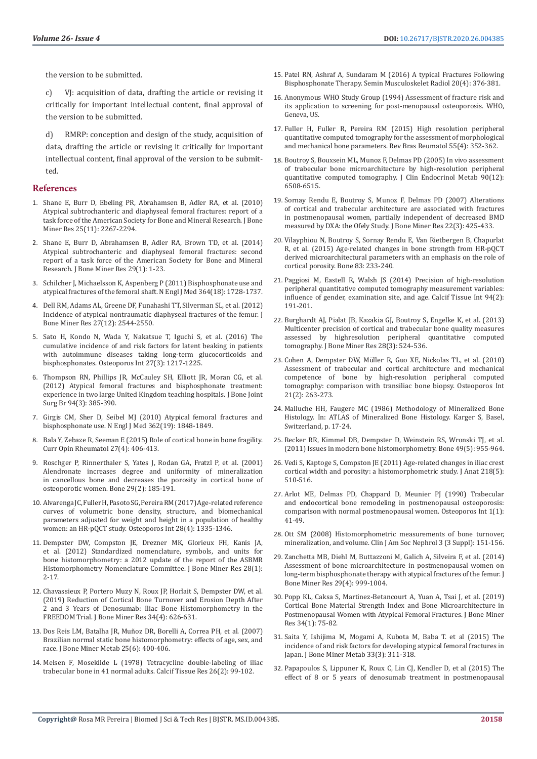the version to be submitted.

c) VJ: acquisition of data, drafting the article or revising it critically for important intellectual content, final approval of the version to be submitted.

d) RMRP: conception and design of the study, acquisition of data, drafting the article or revising it critically for important intellectual content, final approval of the version to be submitted.

## **References**

- 1. [Shane E, Burr D, Ebeling PR, Abrahamsen B, Adler RA, et al. \(2010\)](https://www.ncbi.nlm.nih.gov/pubmed/20842676)  [Atypical subtrochanteric and diaphyseal femoral fractures: report of a](https://www.ncbi.nlm.nih.gov/pubmed/20842676)  [task force of the American Society for Bone and Mineral Research. J Bone](https://www.ncbi.nlm.nih.gov/pubmed/20842676)  [Miner Res 25\(11\): 2267-2294.](https://www.ncbi.nlm.nih.gov/pubmed/20842676)
- 2. [Shane E, Burr D, Abrahamsen B, Adler RA, Brown TD, et al. \(2014\)](https://www.ncbi.nlm.nih.gov/pubmed/23712442)  [Atypical subtrochanteric and diaphyseal femoral fractures: second](https://www.ncbi.nlm.nih.gov/pubmed/23712442)  [report of a task force of the American Society for Bone and Mineral](https://www.ncbi.nlm.nih.gov/pubmed/23712442)  [Research. J Bone Miner Res 29\(1\): 1-23.](https://www.ncbi.nlm.nih.gov/pubmed/23712442)
- 3. [Schilcher J, Michaelsson K, Aspenberg P \(2011\) Bisphosphonate use and](https://www.ncbi.nlm.nih.gov/pubmed/21542743)  [atypical fractures of the femoral shaft. N Engl J Med 364\(18\): 1728-1737.](https://www.ncbi.nlm.nih.gov/pubmed/21542743)
- 4. [Dell RM, Adams AL, Greene DF, Funahashi TT, Silverman SL, et al. \(2012\)](https://www.ncbi.nlm.nih.gov/pubmed/22836783)  [Incidence of atypical nontraumatic diaphyseal fractures of the femur. J](https://www.ncbi.nlm.nih.gov/pubmed/22836783)  [Bone Miner Res 27\(12\): 2544-2550.](https://www.ncbi.nlm.nih.gov/pubmed/22836783)
- 5. [Sato H, Kondo N, Wada Y, Nakatsue T, Iguchi S, et al. \(2016\) The](https://www.ncbi.nlm.nih.gov/pubmed/26519417)  [cumulative incidence of and risk factors for latent beaking in patients](https://www.ncbi.nlm.nih.gov/pubmed/26519417)  [with autoimmune diseases taking long-term glucocorticoids and](https://www.ncbi.nlm.nih.gov/pubmed/26519417)  [bisphosphonates. Osteoporos Int 27\(3\): 1217-1225.](https://www.ncbi.nlm.nih.gov/pubmed/26519417)
- 6. [Thompson RN, Phillips JR, McCauley SH, Elliott JR, Moran CG, et al.](https://www.ncbi.nlm.nih.gov/pubmed/22371548)  [\(2012\) Atypical femoral fractures and bisphosphonate treatment:](https://www.ncbi.nlm.nih.gov/pubmed/22371548)  [experience in two large United Kingdom teaching hospitals. J Bone Joint](https://www.ncbi.nlm.nih.gov/pubmed/22371548)  [Surg Br 94\(3\): 385-390.](https://www.ncbi.nlm.nih.gov/pubmed/22371548)
- 7. [Girgis CM, Sher D, Seibel MJ \(2010\) Atypical femoral fractures and](https://www.ncbi.nlm.nih.gov/pmc/articles/PMC4480549/)  [bisphosphonate use. N Engl J Med 362\(19\): 1848-1849.](https://www.ncbi.nlm.nih.gov/pmc/articles/PMC4480549/)
- 8. [Bala Y, Zebaze R, Seeman E \(2015\) Role of cortical bone in bone fragility.](https://www.ncbi.nlm.nih.gov/pubmed/26002033)  [Curr Opin Rheumatol 27\(4\): 406-413.](https://www.ncbi.nlm.nih.gov/pubmed/26002033)
- 9. [Roschger P, Rinnerthaler S, Yates J, Rodan GA, Fratzl P, et al. \(2001\)](https://www.semanticscholar.org/paper/Alendronate-increases-degree-and-uniformity-of-in-Roschger-Rinnerthaler/54610af398a9f9fbba0594c14d66ed0ac7e2b857)  [Alendronate increases degree and uniformity of mineralization](https://www.semanticscholar.org/paper/Alendronate-increases-degree-and-uniformity-of-in-Roschger-Rinnerthaler/54610af398a9f9fbba0594c14d66ed0ac7e2b857)  [in cancellous bone and decreases the porosity in cortical bone of](https://www.semanticscholar.org/paper/Alendronate-increases-degree-and-uniformity-of-in-Roschger-Rinnerthaler/54610af398a9f9fbba0594c14d66ed0ac7e2b857)  [osteoporotic women. Bone 29\(2\): 185-191.](https://www.semanticscholar.org/paper/Alendronate-increases-degree-and-uniformity-of-in-Roschger-Rinnerthaler/54610af398a9f9fbba0594c14d66ed0ac7e2b857)
- 10. [Alvarenga JC, Fuller H, Pasoto SG, Pereira RM \(2017\) Age-related reference](https://www.ncbi.nlm.nih.gov/pubmed/27981337)  [curves of volumetric bone density, structure, and biomechanical](https://www.ncbi.nlm.nih.gov/pubmed/27981337)  [parameters adjusted for weight and height in a population of healthy](https://www.ncbi.nlm.nih.gov/pubmed/27981337)  [women: an HR-pQCT study. Osteoporos Int 28\(4\): 1335-1346.](https://www.ncbi.nlm.nih.gov/pubmed/27981337)
- 11. [Dempster DW, Compston JE, Drezner MK, Glorieux FH, Kanis JA,](https://www.ncbi.nlm.nih.gov/pubmed/23197339)  [et al. \(2012\) Standardized nomenclature, symbols, and units for](https://www.ncbi.nlm.nih.gov/pubmed/23197339)  [bone histomorphometry: a 2012 update of the report of the ASBMR](https://www.ncbi.nlm.nih.gov/pubmed/23197339)  [Histomorphometry Nomenclature Committee. J Bone Miner Res 28\(1\):](https://www.ncbi.nlm.nih.gov/pubmed/23197339)  [2-17.](https://www.ncbi.nlm.nih.gov/pubmed/23197339)
- 12. [Chavassieux P, Portero Muzy N, Roux JP, Horlait S, Dempster DW, et al.](https://www.ncbi.nlm.nih.gov/pubmed/30601581)  [\(2019\) Reduction of Cortical Bone Turnover and Erosion Depth After](https://www.ncbi.nlm.nih.gov/pubmed/30601581)  [2 and 3 Years of Denosumab: Iliac Bone Histomorphometry in the](https://www.ncbi.nlm.nih.gov/pubmed/30601581)  [FREEDOM Trial. J Bone Miner Res 34\(4\): 626-631.](https://www.ncbi.nlm.nih.gov/pubmed/30601581)
- 13. [Dos Reis LM, Batalha JR, Muñoz DR, Borelli A, Correa PH, et al. \(2007\)](https://www.ncbi.nlm.nih.gov/pubmed/17968492)  [Brazilian normal static bone histomorphometry: effects of age, sex, and](https://www.ncbi.nlm.nih.gov/pubmed/17968492)  [race. J Bone Miner Metab 25\(6\): 400-406.](https://www.ncbi.nlm.nih.gov/pubmed/17968492)
- 14. [Melsen F, Mosekilde L \(1978\) Tetracycline double-labeling of iliac](https://www.ncbi.nlm.nih.gov/pubmed/737565)  [trabecular bone in 41 normal adults. Calcif Tissue Res 26\(2\): 99-102.](https://www.ncbi.nlm.nih.gov/pubmed/737565)
- 15. [Patel RN, Ashraf A, Sundaram M \(2016\) A typical Fractures Following](https://www.ncbi.nlm.nih.gov/pubmed/27842430) [Bisphosphonate Therapy. Semin Musculoskelet Radiol 20\(4\): 376-381.](https://www.ncbi.nlm.nih.gov/pubmed/27842430)
- 16. Anonymous WHO Study Group (1994) Assessment of fracture risk and its application to screening for post-menopausal osteoporosis. WHO, Geneva, US.
- 17. [Fuller H, Fuller R, Pereira RM \(2015\) High resolution peripheral](https://www.ncbi.nlm.nih.gov/pubmed/25582999) [quantitative computed tomography for the assessment of morphological](https://www.ncbi.nlm.nih.gov/pubmed/25582999) [and mechanical bone parameters. Rev Bras Reumatol 55\(4\): 352-362.](https://www.ncbi.nlm.nih.gov/pubmed/25582999)
- 18. [Boutroy S, Bouxsein ML, Munoz F, Delmas PD \(2005\) In vivo assessment](https://www.ncbi.nlm.nih.gov/pubmed/16189253) [of trabecular bone microarchitecture by high-resolution peripheral](https://www.ncbi.nlm.nih.gov/pubmed/16189253) [quantitative computed tomography. J Clin Endocrinol Metab 90\(12\):](https://www.ncbi.nlm.nih.gov/pubmed/16189253) [6508-6515.](https://www.ncbi.nlm.nih.gov/pubmed/16189253)
- 19. [Sornay Rendu E, Boutroy S, Munoz F, Delmas PD \(2007\) Alterations](https://asbmr.onlinelibrary.wiley.com/doi/full/10.1359/jbmr.061206) [of cortical and trabecular architecture are associated with fractures](https://asbmr.onlinelibrary.wiley.com/doi/full/10.1359/jbmr.061206) [in postmenopausal women, partially independent of decreased BMD](https://asbmr.onlinelibrary.wiley.com/doi/full/10.1359/jbmr.061206) [measured by DXA: the Ofely Study. J Bone Miner Res 22\(3\): 425-433.](https://asbmr.onlinelibrary.wiley.com/doi/full/10.1359/jbmr.061206)
- 20. [Vilayphiou N, Boutroy S, Sornay Rendu E, Van Rietbergen B, Chapurlat](https://www.ncbi.nlm.nih.gov/pubmed/26525593) [R, et al. \(2015\) Age-related changes in bone strength from HR-pQCT](https://www.ncbi.nlm.nih.gov/pubmed/26525593) [derived microarchitectural parameters with an emphasis on the role of](https://www.ncbi.nlm.nih.gov/pubmed/26525593) [cortical porosity. Bone 83: 233-240.](https://www.ncbi.nlm.nih.gov/pubmed/26525593)
- 21. [Paggiosi M, Eastell R, Walsh JS \(2014\) Precision of high-resolution](https://www.ncbi.nlm.nih.gov/pubmed/24057069) [peripheral quantitative computed tomography measurement variables:](https://www.ncbi.nlm.nih.gov/pubmed/24057069) [influence of gender, examination site, and age. Calcif Tissue Int 94\(2\):](https://www.ncbi.nlm.nih.gov/pubmed/24057069) [191-201.](https://www.ncbi.nlm.nih.gov/pubmed/24057069)
- 22. [Burghardt AJ, Pialat JB, Kazakia GJ, Boutroy S, Engelke K, et al. \(2013\)](https://www.ncbi.nlm.nih.gov/pubmed/23074145) [Multicenter precision of cortical and trabecular bone quality measures](https://www.ncbi.nlm.nih.gov/pubmed/23074145) [assessed by highresolution peripheral quantitative computed](https://www.ncbi.nlm.nih.gov/pubmed/23074145) [tomography. J Bone Miner Res 28\(3\): 524-536.](https://www.ncbi.nlm.nih.gov/pubmed/23074145)
- 23. [Cohen A, Dempster DW, Müller R, Guo XE, Nickolas TL, et al. \(2010\)](https://www.ncbi.nlm.nih.gov/pubmed/19455271) [Assessment of trabecular and cortical architecture and mechanical](https://www.ncbi.nlm.nih.gov/pubmed/19455271) [competence of bone by high-resolution peripheral computed](https://www.ncbi.nlm.nih.gov/pubmed/19455271) [tomography: comparison with transiliac bone biopsy. Osteoporos Int](https://www.ncbi.nlm.nih.gov/pubmed/19455271) [21\(2\): 263-273.](https://www.ncbi.nlm.nih.gov/pubmed/19455271)
- 24. Malluche HH, Faugere MC (1986) Methodology of Mineralized Bone Histology. In: ATLAS of Mineralized Bone Histology. Karger S, Basel, Switzerland, p. 17-24.
- 25. [Recker RR, Kimmel DB, Dempster D, Weinstein RS, Wronski TJ, et al.](https://www.ncbi.nlm.nih.gov/pmc/articles/PMC3274956/) [\(2011\) Issues in modern bone histomorphometry. Bone 49\(5\): 955-964.](https://www.ncbi.nlm.nih.gov/pmc/articles/PMC3274956/)
- 26. [Vedi S, Kaptoge S, Compston JE \(2011\) Age-related changes in iliac crest](https://www.ncbi.nlm.nih.gov/pubmed/21355867) [cortical width and porosity: a histomorphometric study. J Anat 218\(5\):](https://www.ncbi.nlm.nih.gov/pubmed/21355867) [510-516.](https://www.ncbi.nlm.nih.gov/pubmed/21355867)
- 27. [Arlot ME, Delmas PD, Chappard D, Meunier PJ \(1990\) Trabecular](https://www.ncbi.nlm.nih.gov/pubmed/2133640) [and endocortical bone remodeling in postmenopausal osteoporosis:](https://www.ncbi.nlm.nih.gov/pubmed/2133640) [comparison with normal postmenopausal women. Osteoporos Int 1\(1\):](https://www.ncbi.nlm.nih.gov/pubmed/2133640) [41-49.](https://www.ncbi.nlm.nih.gov/pubmed/2133640)
- 28. [Ott SM \(2008\) Histomorphometric measurements of bone turnover,](https://www.ncbi.nlm.nih.gov/pubmed/18988700) [mineralization, and volume. Clin J Am Soc Nephrol 3 \(3 Suppl\): 151-156.](https://www.ncbi.nlm.nih.gov/pubmed/18988700)
- 29. [Zanchetta MB, Diehl M, Buttazzoni M, Galich A, Silveira F, et al. \(2014\)](https://www.ncbi.nlm.nih.gov/pubmed/24115250) [Assessment of bone microarchitecture in postmenopausal women on](https://www.ncbi.nlm.nih.gov/pubmed/24115250) [long-term bisphosphonate therapy with atypical fractures of the femur. J](https://www.ncbi.nlm.nih.gov/pubmed/24115250) [Bone Miner Res 29\(4\): 999-1004.](https://www.ncbi.nlm.nih.gov/pubmed/24115250)
- 30. [Popp KL, Caksa S, Martinez-Betancourt A, Yuan A, Tsai J, et al. \(2019\)](https://www.ncbi.nlm.nih.gov/pubmed/30281863) [Cortical Bone Material Strength Index and Bone Microarchitecture in](https://www.ncbi.nlm.nih.gov/pubmed/30281863) [Postmenopausal Women with Atypical Femoral Fractures. J Bone Miner](https://www.ncbi.nlm.nih.gov/pubmed/30281863) [Res 34\(1\): 75-82.](https://www.ncbi.nlm.nih.gov/pubmed/30281863)
- 31. [Saita Y, Ishijima M, Mogami A, Kubota M, Baba T. et al \(2015\) The](https://www.ncbi.nlm.nih.gov/pubmed/24852205) [incidence of and risk factors for developing atypical femoral fractures in](https://www.ncbi.nlm.nih.gov/pubmed/24852205) [Japan. J Bone Miner Metab 33\(3\): 311-318.](https://www.ncbi.nlm.nih.gov/pubmed/24852205)
- 32. [Papapoulos S, Lippuner K, Roux C, Lin CJ, Kendler D, et al \(2015\) The](https://www.ncbi.nlm.nih.gov/pubmed/26202488) [effect of 8 or 5 years of denosumab treatment in postmenopausal](https://www.ncbi.nlm.nih.gov/pubmed/26202488)